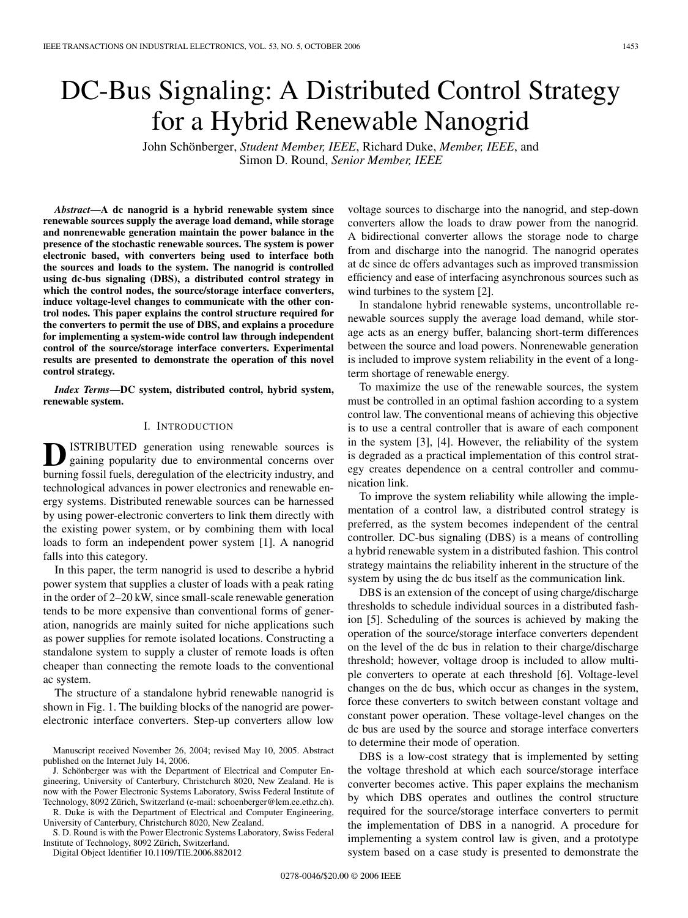# DC-Bus Signaling: A Distributed Control Strategy for a Hybrid Renewable Nanogrid

John Schönberger, *Student Member, IEEE*, Richard Duke, *Member, IEEE*, and Simon D. Round, *Senior Member, IEEE*

*Abstract***—A dc nanogrid is a hybrid renewable system since renewable sources supply the average load demand, while storage and nonrenewable generation maintain the power balance in the presence of the stochastic renewable sources. The system is power electronic based, with converters being used to interface both the sources and loads to the system. The nanogrid is controlled using dc-bus signaling (DBS), a distributed control strategy in which the control nodes, the source/storage interface converters, induce voltage-level changes to communicate with the other control nodes. This paper explains the control structure required for the converters to permit the use of DBS, and explains a procedure for implementing a system-wide control law through independent control of the source/storage interface converters. Experimental results are presented to demonstrate the operation of this novel control strategy.**

*Index Terms***—DC system, distributed control, hybrid system, renewable system.**

# I. INTRODUCTION

**D**ISTRIBUTED generation using renewable sources is<br>gaining popularity due to environmental concerns over burning fossil fuels, deregulation of the electricity industry, and technological advances in power electronics and renewable energy systems. Distributed renewable sources can be harnessed by using power-electronic converters to link them directly with the existing power system, or by combining them with local loads to form an independent power system [1]. A nanogrid falls into this category.

In this paper, the term nanogrid is used to describe a hybrid power system that supplies a cluster of loads with a peak rating in the order of 2–20 kW, since small-scale renewable generation tends to be more expensive than conventional forms of generation, nanogrids are mainly suited for niche applications such as power supplies for remote isolated locations. Constructing a standalone system to supply a cluster of remote loads is often cheaper than connecting the remote loads to the conventional ac system.

The structure of a standalone hybrid renewable nanogrid is shown in Fig. 1. The building blocks of the nanogrid are powerelectronic interface converters. Step-up converters allow low

Manuscript received November 26, 2004; revised May 10, 2005. Abstract published on the Internet July 14, 2006.

J. Schönberger was with the Department of Electrical and Computer Engineering, University of Canterbury, Christchurch 8020, New Zealand. He is now with the Power Electronic Systems Laboratory, Swiss Federal Institute of Technology, 8092 Zürich, Switzerland (e-mail: schoenberger@lem.ee.ethz.ch).

R. Duke is with the Department of Electrical and Computer Engineering, University of Canterbury, Christchurch 8020, New Zealand.

S. D. Round is with the Power Electronic Systems Laboratory, Swiss Federal Institute of Technology, 8092 Zürich, Switzerland.

Digital Object Identifier 10.1109/TIE.2006.882012

voltage sources to discharge into the nanogrid, and step-down converters allow the loads to draw power from the nanogrid. A bidirectional converter allows the storage node to charge from and discharge into the nanogrid. The nanogrid operates at dc since dc offers advantages such as improved transmission efficiency and ease of interfacing asynchronous sources such as wind turbines to the system [2].

In standalone hybrid renewable systems, uncontrollable renewable sources supply the average load demand, while storage acts as an energy buffer, balancing short-term differences between the source and load powers. Nonrenewable generation is included to improve system reliability in the event of a longterm shortage of renewable energy.

To maximize the use of the renewable sources, the system must be controlled in an optimal fashion according to a system control law. The conventional means of achieving this objective is to use a central controller that is aware of each component in the system [3], [4]. However, the reliability of the system is degraded as a practical implementation of this control strategy creates dependence on a central controller and communication link.

To improve the system reliability while allowing the implementation of a control law, a distributed control strategy is preferred, as the system becomes independent of the central controller. DC-bus signaling (DBS) is a means of controlling a hybrid renewable system in a distributed fashion. This control strategy maintains the reliability inherent in the structure of the system by using the dc bus itself as the communication link.

DBS is an extension of the concept of using charge/discharge thresholds to schedule individual sources in a distributed fashion [5]. Scheduling of the sources is achieved by making the operation of the source/storage interface converters dependent on the level of the dc bus in relation to their charge/discharge threshold; however, voltage droop is included to allow multiple converters to operate at each threshold [6]. Voltage-level changes on the dc bus, which occur as changes in the system, force these converters to switch between constant voltage and constant power operation. These voltage-level changes on the dc bus are used by the source and storage interface converters to determine their mode of operation.

DBS is a low-cost strategy that is implemented by setting the voltage threshold at which each source/storage interface converter becomes active. This paper explains the mechanism by which DBS operates and outlines the control structure required for the source/storage interface converters to permit the implementation of DBS in a nanogrid. A procedure for implementing a system control law is given, and a prototype system based on a case study is presented to demonstrate the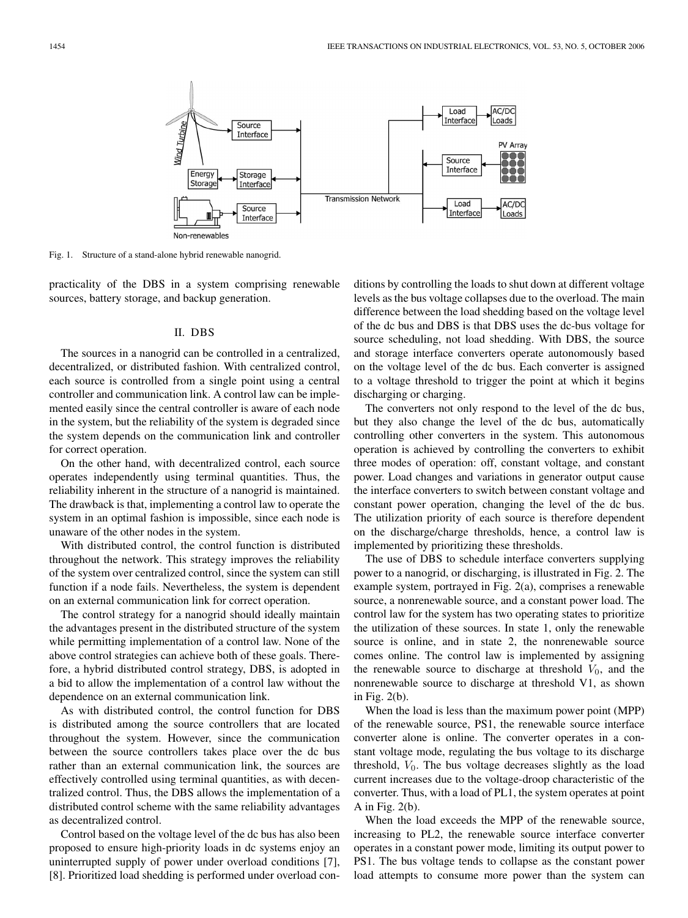

Fig. 1. Structure of a stand-alone hybrid renewable nanogrid.

practicality of the DBS in a system comprising renewable sources, battery storage, and backup generation.

#### II. DBS

The sources in a nanogrid can be controlled in a centralized, decentralized, or distributed fashion. With centralized control, each source is controlled from a single point using a central controller and communication link. A control law can be implemented easily since the central controller is aware of each node in the system, but the reliability of the system is degraded since the system depends on the communication link and controller for correct operation.

On the other hand, with decentralized control, each source operates independently using terminal quantities. Thus, the reliability inherent in the structure of a nanogrid is maintained. The drawback is that, implementing a control law to operate the system in an optimal fashion is impossible, since each node is unaware of the other nodes in the system.

With distributed control, the control function is distributed throughout the network. This strategy improves the reliability of the system over centralized control, since the system can still function if a node fails. Nevertheless, the system is dependent on an external communication link for correct operation.

The control strategy for a nanogrid should ideally maintain the advantages present in the distributed structure of the system while permitting implementation of a control law. None of the above control strategies can achieve both of these goals. Therefore, a hybrid distributed control strategy, DBS, is adopted in a bid to allow the implementation of a control law without the dependence on an external communication link.

As with distributed control, the control function for DBS is distributed among the source controllers that are located throughout the system. However, since the communication between the source controllers takes place over the dc bus rather than an external communication link, the sources are effectively controlled using terminal quantities, as with decentralized control. Thus, the DBS allows the implementation of a distributed control scheme with the same reliability advantages as decentralized control.

Control based on the voltage level of the dc bus has also been proposed to ensure high-priority loads in dc systems enjoy an uninterrupted supply of power under overload conditions [7], [8]. Prioritized load shedding is performed under overload conditions by controlling the loads to shut down at different voltage levels as the bus voltage collapses due to the overload. The main difference between the load shedding based on the voltage level of the dc bus and DBS is that DBS uses the dc-bus voltage for source scheduling, not load shedding. With DBS, the source and storage interface converters operate autonomously based on the voltage level of the dc bus. Each converter is assigned to a voltage threshold to trigger the point at which it begins discharging or charging.

The converters not only respond to the level of the dc bus, but they also change the level of the dc bus, automatically controlling other converters in the system. This autonomous operation is achieved by controlling the converters to exhibit three modes of operation: off, constant voltage, and constant power. Load changes and variations in generator output cause the interface converters to switch between constant voltage and constant power operation, changing the level of the dc bus. The utilization priority of each source is therefore dependent on the discharge/charge thresholds, hence, a control law is implemented by prioritizing these thresholds.

The use of DBS to schedule interface converters supplying power to a nanogrid, or discharging, is illustrated in Fig. 2. The example system, portrayed in Fig. 2(a), comprises a renewable source, a nonrenewable source, and a constant power load. The control law for the system has two operating states to prioritize the utilization of these sources. In state 1, only the renewable source is online, and in state 2, the nonrenewable source comes online. The control law is implemented by assigning the renewable source to discharge at threshold  $V_0$ , and the nonrenewable source to discharge at threshold V1, as shown in Fig. 2(b).

When the load is less than the maximum power point (MPP) of the renewable source, PS1, the renewable source interface converter alone is online. The converter operates in a constant voltage mode, regulating the bus voltage to its discharge threshold,  $V_0$ . The bus voltage decreases slightly as the load current increases due to the voltage-droop characteristic of the converter. Thus, with a load of PL1, the system operates at point A in Fig. 2(b).

When the load exceeds the MPP of the renewable source, increasing to PL2, the renewable source interface converter operates in a constant power mode, limiting its output power to PS1. The bus voltage tends to collapse as the constant power load attempts to consume more power than the system can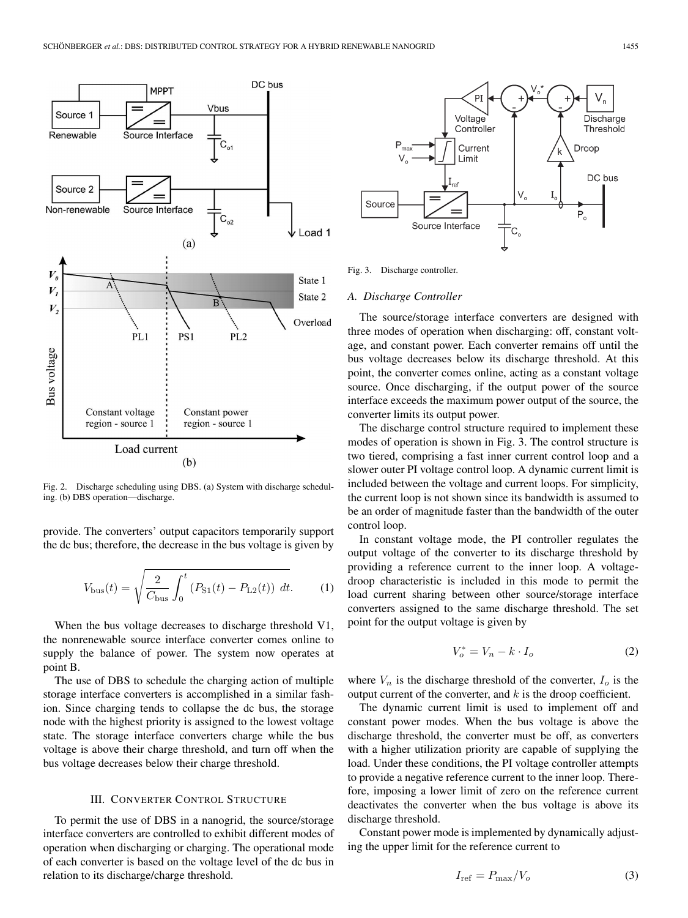

Fig. 2. Discharge scheduling using DBS. (a) System with discharge scheduling. (b) DBS operation—discharge.

provide. The converters' output capacitors temporarily support the dc bus; therefore, the decrease in the bus voltage is given by

$$
V_{\text{bus}}(t) = \sqrt{\frac{2}{C_{\text{bus}}}} \int_0^t (P_{\text{S1}}(t) - P_{\text{L2}}(t)) dt.
$$
 (1)

When the bus voltage decreases to discharge threshold V1, the nonrenewable source interface converter comes online to supply the balance of power. The system now operates at point B.

The use of DBS to schedule the charging action of multiple storage interface converters is accomplished in a similar fashion. Since charging tends to collapse the dc bus, the storage node with the highest priority is assigned to the lowest voltage state. The storage interface converters charge while the bus voltage is above their charge threshold, and turn off when the bus voltage decreases below their charge threshold.

## III. CONVERTER CONTROL STRUCTURE

To permit the use of DBS in a nanogrid, the source/storage interface converters are controlled to exhibit different modes of operation when discharging or charging. The operational mode of each converter is based on the voltage level of the dc bus in relation to its discharge/charge threshold.



Fig. 3. Discharge controller.

#### *A. Discharge Controller*

The source/storage interface converters are designed with three modes of operation when discharging: off, constant voltage, and constant power. Each converter remains off until the bus voltage decreases below its discharge threshold. At this point, the converter comes online, acting as a constant voltage source. Once discharging, if the output power of the source interface exceeds the maximum power output of the source, the converter limits its output power.

The discharge control structure required to implement these modes of operation is shown in Fig. 3. The control structure is two tiered, comprising a fast inner current control loop and a slower outer PI voltage control loop. A dynamic current limit is included between the voltage and current loops. For simplicity, the current loop is not shown since its bandwidth is assumed to be an order of magnitude faster than the bandwidth of the outer control loop.

In constant voltage mode, the PI controller regulates the output voltage of the converter to its discharge threshold by providing a reference current to the inner loop. A voltagedroop characteristic is included in this mode to permit the load current sharing between other source/storage interface converters assigned to the same discharge threshold. The set point for the output voltage is given by

$$
V_o^* = V_n - k \cdot I_o \tag{2}
$$

where  $V_n$  is the discharge threshold of the converter,  $I_o$  is the output current of the converter, and  $k$  is the droop coefficient.

The dynamic current limit is used to implement off and constant power modes. When the bus voltage is above the discharge threshold, the converter must be off, as converters with a higher utilization priority are capable of supplying the load. Under these conditions, the PI voltage controller attempts to provide a negative reference current to the inner loop. Therefore, imposing a lower limit of zero on the reference current deactivates the converter when the bus voltage is above its discharge threshold.

Constant power mode is implemented by dynamically adjusting the upper limit for the reference current to

$$
I_{\rm ref} = P_{\rm max}/V_o \tag{3}
$$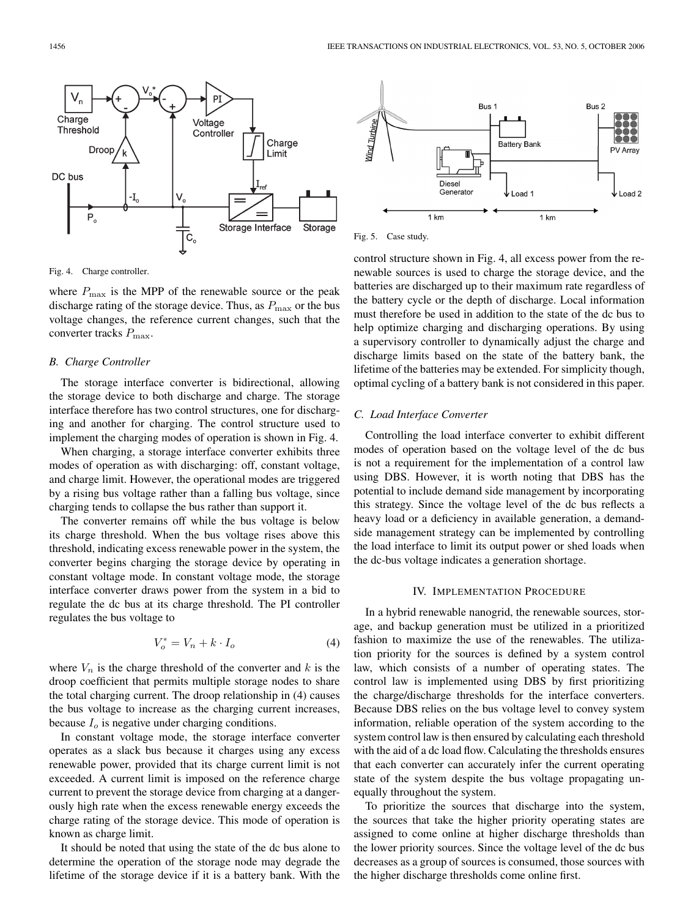

Fig. 4. Charge controller.

where  $P_{\text{max}}$  is the MPP of the renewable source or the peak discharge rating of the storage device. Thus, as  $P_{\text{max}}$  or the bus voltage changes, the reference current changes, such that the converter tracks  $P_{\text{max}}$ .

## *B. Charge Controller*

The storage interface converter is bidirectional, allowing the storage device to both discharge and charge. The storage interface therefore has two control structures, one for discharging and another for charging. The control structure used to implement the charging modes of operation is shown in Fig. 4.

When charging, a storage interface converter exhibits three modes of operation as with discharging: off, constant voltage, and charge limit. However, the operational modes are triggered by a rising bus voltage rather than a falling bus voltage, since charging tends to collapse the bus rather than support it.

The converter remains off while the bus voltage is below its charge threshold. When the bus voltage rises above this threshold, indicating excess renewable power in the system, the converter begins charging the storage device by operating in constant voltage mode. In constant voltage mode, the storage interface converter draws power from the system in a bid to regulate the dc bus at its charge threshold. The PI controller regulates the bus voltage to

$$
V_o^* = V_n + k \cdot I_o \tag{4}
$$

where  $V_n$  is the charge threshold of the converter and k is the droop coefficient that permits multiple storage nodes to share the total charging current. The droop relationship in (4) causes the bus voltage to increase as the charging current increases, because  $I<sub>o</sub>$  is negative under charging conditions.

In constant voltage mode, the storage interface converter operates as a slack bus because it charges using any excess renewable power, provided that its charge current limit is not exceeded. A current limit is imposed on the reference charge current to prevent the storage device from charging at a dangerously high rate when the excess renewable energy exceeds the charge rating of the storage device. This mode of operation is known as charge limit.

It should be noted that using the state of the dc bus alone to determine the operation of the storage node may degrade the lifetime of the storage device if it is a battery bank. With the



Fig. 5. Case study.

control structure shown in Fig. 4, all excess power from the renewable sources is used to charge the storage device, and the batteries are discharged up to their maximum rate regardless of the battery cycle or the depth of discharge. Local information must therefore be used in addition to the state of the dc bus to help optimize charging and discharging operations. By using a supervisory controller to dynamically adjust the charge and discharge limits based on the state of the battery bank, the lifetime of the batteries may be extended. For simplicity though, optimal cycling of a battery bank is not considered in this paper.

#### *C. Load Interface Converter*

Controlling the load interface converter to exhibit different modes of operation based on the voltage level of the dc bus is not a requirement for the implementation of a control law using DBS. However, it is worth noting that DBS has the potential to include demand side management by incorporating this strategy. Since the voltage level of the dc bus reflects a heavy load or a deficiency in available generation, a demandside management strategy can be implemented by controlling the load interface to limit its output power or shed loads when the dc-bus voltage indicates a generation shortage.

## IV. IMPLEMENTATION PROCEDURE

In a hybrid renewable nanogrid, the renewable sources, storage, and backup generation must be utilized in a prioritized fashion to maximize the use of the renewables. The utilization priority for the sources is defined by a system control law, which consists of a number of operating states. The control law is implemented using DBS by first prioritizing the charge/discharge thresholds for the interface converters. Because DBS relies on the bus voltage level to convey system information, reliable operation of the system according to the system control law is then ensured by calculating each threshold with the aid of a dc load flow. Calculating the thresholds ensures that each converter can accurately infer the current operating state of the system despite the bus voltage propagating unequally throughout the system.

To prioritize the sources that discharge into the system, the sources that take the higher priority operating states are assigned to come online at higher discharge thresholds than the lower priority sources. Since the voltage level of the dc bus decreases as a group of sources is consumed, those sources with the higher discharge thresholds come online first.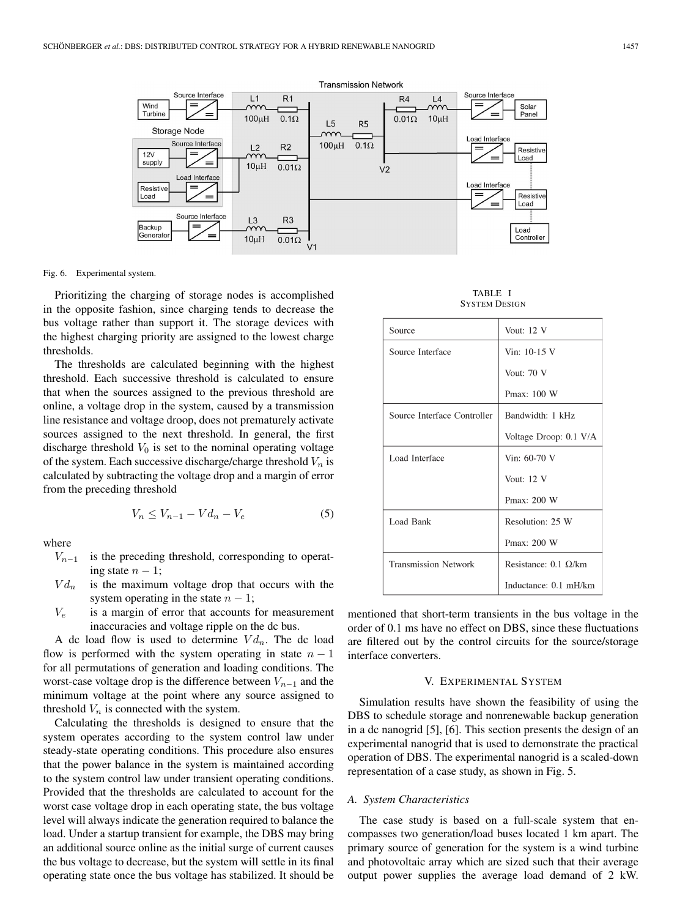

Fig. 6. Experimental system.

Prioritizing the charging of storage nodes is accomplished in the opposite fashion, since charging tends to decrease the bus voltage rather than support it. The storage devices with the highest charging priority are assigned to the lowest charge thresholds.

The thresholds are calculated beginning with the highest threshold. Each successive threshold is calculated to ensure that when the sources assigned to the previous threshold are online, a voltage drop in the system, caused by a transmission line resistance and voltage droop, does not prematurely activate sources assigned to the next threshold. In general, the first discharge threshold  $V_0$  is set to the nominal operating voltage of the system. Each successive discharge/charge threshold  $V_n$  is calculated by subtracting the voltage drop and a margin of error from the preceding threshold

$$
V_n \le V_{n-1} - Vd_n - V_e \tag{5}
$$

where

- $V_{n-1}$  is the preceding threshold, corresponding to operating state  $n - 1$ ;
- $V d_n$  is the maximum voltage drop that occurs with the system operating in the state  $n - 1$ ;
- $V_e$  is a margin of error that accounts for measurement inaccuracies and voltage ripple on the dc bus.

A dc load flow is used to determine  $V d_n$ . The dc load flow is performed with the system operating in state  $n-1$ for all permutations of generation and loading conditions. The worst-case voltage drop is the difference between  $V_{n-1}$  and the minimum voltage at the point where any source assigned to threshold  $V_n$  is connected with the system.

Calculating the thresholds is designed to ensure that the system operates according to the system control law under steady-state operating conditions. This procedure also ensures that the power balance in the system is maintained according to the system control law under transient operating conditions. Provided that the thresholds are calculated to account for the worst case voltage drop in each operating state, the bus voltage level will always indicate the generation required to balance the load. Under a startup transient for example, the DBS may bring an additional source online as the initial surge of current causes the bus voltage to decrease, but the system will settle in its final operating state once the bus voltage has stabilized. It should be



| Source                      | Vout: 12 V                  |  |
|-----------------------------|-----------------------------|--|
| Source Interface            | Vin: $10-15$ V              |  |
|                             | <b>Vout: 70 V</b>           |  |
|                             | Pmax: 100 W                 |  |
| Source Interface Controller | Bandwidth: 1 kHz            |  |
|                             | Voltage Droop: 0.1 V/A      |  |
| Load Interface              | Vin: 60-70 V                |  |
|                             | Vout: $12 \text{ V}$        |  |
|                             | Pmax: 200 W                 |  |
| Load Bank                   | Resolution: 25 W            |  |
|                             | Pmax: 200 W                 |  |
| Transmission Network        | Resistance: $0.1 \Omega/km$ |  |
|                             | Inductance: 0.1 mH/km       |  |

mentioned that short-term transients in the bus voltage in the order of 0.1 ms have no effect on DBS, since these fluctuations are filtered out by the control circuits for the source/storage interface converters.

## V. EXPERIMENTAL SYSTEM

Simulation results have shown the feasibility of using the DBS to schedule storage and nonrenewable backup generation in a dc nanogrid [5], [6]. This section presents the design of an experimental nanogrid that is used to demonstrate the practical operation of DBS. The experimental nanogrid is a scaled-down representation of a case study, as shown in Fig. 5.

#### *A. System Characteristics*

The case study is based on a full-scale system that encompasses two generation/load buses located 1 km apart. The primary source of generation for the system is a wind turbine and photovoltaic array which are sized such that their average output power supplies the average load demand of 2 kW.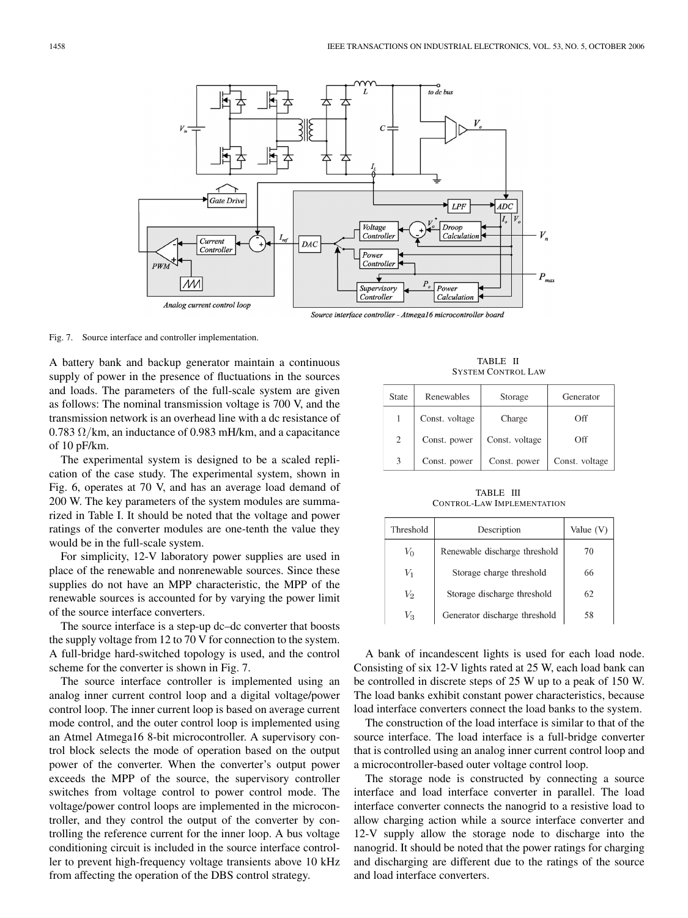

Fig. 7. Source interface and controller implementation.

A battery bank and backup generator maintain a continuous supply of power in the presence of fluctuations in the sources and loads. The parameters of the full-scale system are given as follows: The nominal transmission voltage is 700 V, and the transmission network is an overhead line with a dc resistance of 0.783  $\Omega$ /km, an inductance of 0.983 mH/km, and a capacitance of 10 pF/km.

The experimental system is designed to be a scaled replication of the case study. The experimental system, shown in Fig. 6, operates at 70 V, and has an average load demand of 200 W. The key parameters of the system modules are summarized in Table I. It should be noted that the voltage and power ratings of the converter modules are one-tenth the value they would be in the full-scale system.

For simplicity, 12-V laboratory power supplies are used in place of the renewable and nonrenewable sources. Since these supplies do not have an MPP characteristic, the MPP of the renewable sources is accounted for by varying the power limit of the source interface converters.

The source interface is a step-up dc–dc converter that boosts the supply voltage from 12 to 70 V for connection to the system. A full-bridge hard-switched topology is used, and the control scheme for the converter is shown in Fig. 7.

The source interface controller is implemented using an analog inner current control loop and a digital voltage/power control loop. The inner current loop is based on average current mode control, and the outer control loop is implemented using an Atmel Atmega16 8-bit microcontroller. A supervisory control block selects the mode of operation based on the output power of the converter. When the converter's output power exceeds the MPP of the source, the supervisory controller switches from voltage control to power control mode. The voltage/power control loops are implemented in the microcontroller, and they control the output of the converter by controlling the reference current for the inner loop. A bus voltage conditioning circuit is included in the source interface controller to prevent high-frequency voltage transients above 10 kHz from affecting the operation of the DBS control strategy.

TABLE II SYSTEM CONTROL LAW

| <b>State</b> | Renewables     | Storage        | Generator      |
|--------------|----------------|----------------|----------------|
|              | Const. voltage | Charge         | Off            |
| 2            | Const. power   | Const. voltage | Off            |
| 3            | Const. power   | Const. power   | Const. voltage |

TABLE III CONTROL-LAW IMPLEMENTATION

| Threshold   | Description                   | Value $(V)$ |
|-------------|-------------------------------|-------------|
| $V_{0}$     | Renewable discharge threshold | 70          |
| V1          | Storage charge threshold      | 66          |
| V2          | Storage discharge threshold   | 62          |
| $V_{\rm 3}$ | Generator discharge threshold | 58          |

A bank of incandescent lights is used for each load node. Consisting of six 12-V lights rated at 25 W, each load bank can be controlled in discrete steps of 25 W up to a peak of 150 W. The load banks exhibit constant power characteristics, because load interface converters connect the load banks to the system.

The construction of the load interface is similar to that of the source interface. The load interface is a full-bridge converter that is controlled using an analog inner current control loop and a microcontroller-based outer voltage control loop.

The storage node is constructed by connecting a source interface and load interface converter in parallel. The load interface converter connects the nanogrid to a resistive load to allow charging action while a source interface converter and 12-V supply allow the storage node to discharge into the nanogrid. It should be noted that the power ratings for charging and discharging are different due to the ratings of the source and load interface converters.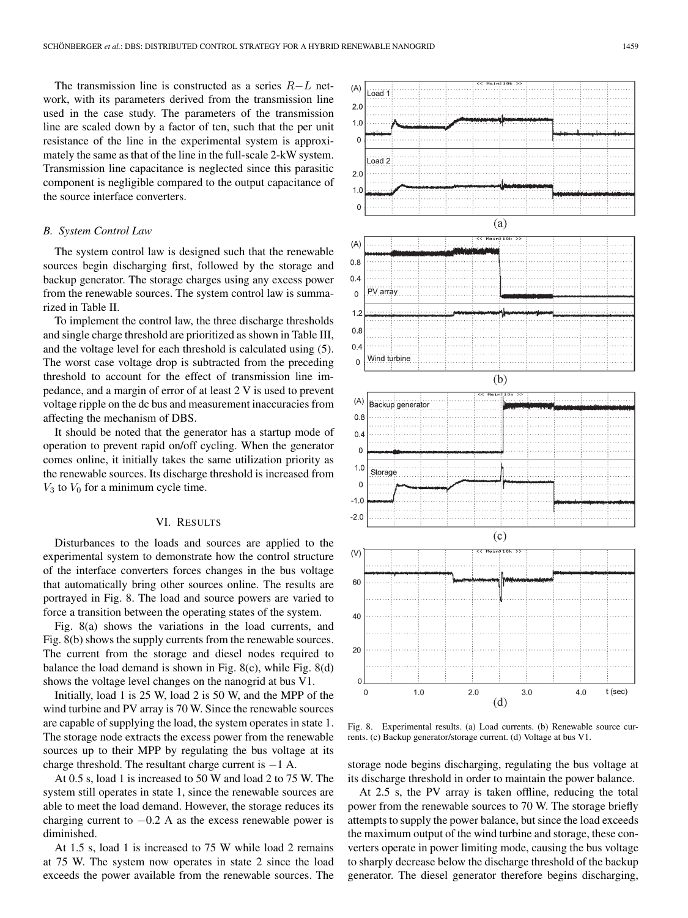The transmission line is constructed as a series  $R-L$  network, with its parameters derived from the transmission line used in the case study. The parameters of the transmission line are scaled down by a factor of ten, such that the per unit resistance of the line in the experimental system is approximately the same as that of the line in the full-scale 2-kW system. Transmission line capacitance is neglected since this parasitic component is negligible compared to the output capacitance of the source interface converters.

#### *B. System Control Law*

The system control law is designed such that the renewable sources begin discharging first, followed by the storage and backup generator. The storage charges using any excess power from the renewable sources. The system control law is summarized in Table II.

To implement the control law, the three discharge thresholds and single charge threshold are prioritized as shown in Table III, and the voltage level for each threshold is calculated using (5). The worst case voltage drop is subtracted from the preceding threshold to account for the effect of transmission line impedance, and a margin of error of at least 2 V is used to prevent voltage ripple on the dc bus and measurement inaccuracies from affecting the mechanism of DBS.

It should be noted that the generator has a startup mode of operation to prevent rapid on/off cycling. When the generator comes online, it initially takes the same utilization priority as the renewable sources. Its discharge threshold is increased from  $V_3$  to  $V_0$  for a minimum cycle time.

## VI. RESULTS

Disturbances to the loads and sources are applied to the experimental system to demonstrate how the control structure of the interface converters forces changes in the bus voltage that automatically bring other sources online. The results are portrayed in Fig. 8. The load and source powers are varied to force a transition between the operating states of the system.

Fig. 8(a) shows the variations in the load currents, and Fig. 8(b) shows the supply currents from the renewable sources. The current from the storage and diesel nodes required to balance the load demand is shown in Fig. 8(c), while Fig. 8(d) shows the voltage level changes on the nanogrid at bus V1.

Initially, load 1 is 25 W, load 2 is 50 W, and the MPP of the wind turbine and PV array is 70 W. Since the renewable sources are capable of supplying the load, the system operates in state 1. The storage node extracts the excess power from the renewable sources up to their MPP by regulating the bus voltage at its charge threshold. The resultant charge current is −1 A.

At 0.5 s, load 1 is increased to 50 W and load 2 to 75 W. The system still operates in state 1, since the renewable sources are able to meet the load demand. However, the storage reduces its charging current to  $-0.2$  A as the excess renewable power is diminished.

At 1.5 s, load 1 is increased to 75 W while load 2 remains at 75 W. The system now operates in state 2 since the load exceeds the power available from the renewable sources. The



Fig. 8. Experimental results. (a) Load currents. (b) Renewable source currents. (c) Backup generator/storage current. (d) Voltage at bus V1.

storage node begins discharging, regulating the bus voltage at its discharge threshold in order to maintain the power balance.

At 2.5 s, the PV array is taken offline, reducing the total power from the renewable sources to 70 W. The storage briefly attempts to supply the power balance, but since the load exceeds the maximum output of the wind turbine and storage, these converters operate in power limiting mode, causing the bus voltage to sharply decrease below the discharge threshold of the backup generator. The diesel generator therefore begins discharging,